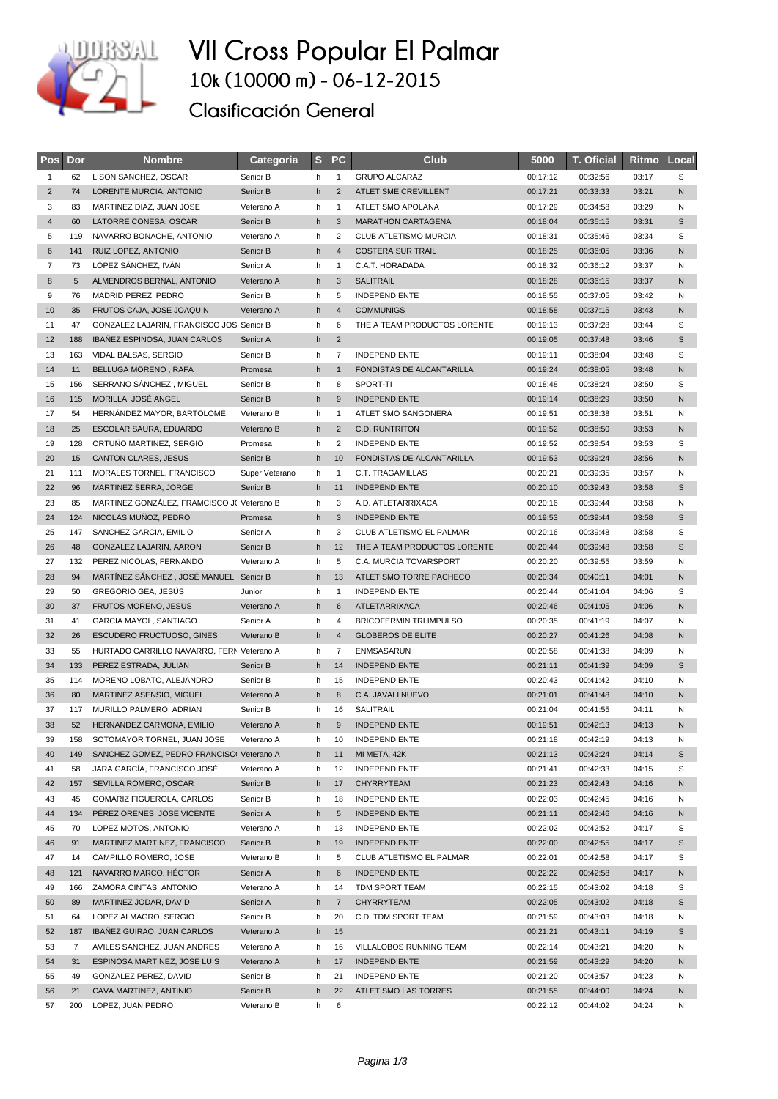

## **VII Cross Popular El Palmar 10k (10000 m) - 06-12-2015**

**Clasificación General**

| <b>Pos</b>     | Dor | <b>Nombre</b>                              | Categoria      | S. | <b>PC</b>      | Club                           | 5000     | <b>T. Oficial</b> | Ritmo | Local |
|----------------|-----|--------------------------------------------|----------------|----|----------------|--------------------------------|----------|-------------------|-------|-------|
| 1              | 62  | LISON SANCHEZ, OSCAR                       | Senior B       | h  | $\mathbf{1}$   | <b>GRUPO ALCARAZ</b>           | 00:17:12 | 00:32:56          | 03:17 | S     |
| $\overline{2}$ | 74  | LORENTE MURCIA, ANTONIO                    | Senior B       | h  | $\overline{2}$ | ATLETISME CREVILLENT           | 00:17:21 | 00:33:33          | 03:21 | N     |
| 3              | 83  | MARTINEZ DIAZ, JUAN JOSE                   | Veterano A     | h  | $\mathbf{1}$   | ATLETISMO APOLANA              | 00:17:29 | 00:34:58          | 03:29 | N     |
| $\sqrt{4}$     | 60  | LATORRE CONESA, OSCAR                      | Senior B       | h  | 3              | <b>MARATHON CARTAGENA</b>      | 00:18:04 | 00:35:15          | 03:31 | S     |
| 5              | 119 | NAVARRO BONACHE, ANTONIO                   | Veterano A     | h  | $\overline{2}$ | <b>CLUB ATLETISMO MURCIA</b>   | 00:18:31 | 00:35:46          | 03:34 | S     |
| 6              | 141 | RUIZ LOPEZ, ANTONIO                        | Senior B       | h  | $\overline{4}$ | <b>COSTERA SUR TRAIL</b>       | 00:18:25 | 00:36:05          | 03:36 | N     |
| $\overline{7}$ | 73  | LÓPEZ SÁNCHEZ, IVÁN                        | Senior A       | h  | $\mathbf{1}$   | C.A.T. HORADADA                | 00:18:32 | 00:36:12          | 03:37 | Ν     |
| $\bf 8$        | 5   | ALMENDROS BERNAL, ANTONIO                  | Veterano A     | h  | 3              | SALITRAIL                      | 00:18:28 | 00:36:15          | 03:37 | N     |
| 9              | 76  | MADRID PEREZ, PEDRO                        | Senior B       | h  | 5              | <b>INDEPENDIENTE</b>           | 00:18:55 | 00:37:05          | 03:42 | N     |
| 10             | 35  | FRUTOS CAJA, JOSE JOAQUIN                  | Veterano A     | h  | $\overline{4}$ | <b>COMMUNIGS</b>               | 00:18:58 | 00:37:15          | 03:43 | N     |
| 11             | 47  | GONZALEZ LAJARIN, FRANCISCO JOS Senior B   |                | h  | 6              | THE A TEAM PRODUCTOS LORENTE   | 00:19:13 | 00:37:28          | 03:44 | S     |
| 12             | 188 | <b>IBANEZ ESPINOSA, JUAN CARLOS</b>        | Senior A       | h  | $\overline{2}$ |                                | 00:19:05 | 00:37:48          | 03:46 | S     |
| 13             | 163 | VIDAL BALSAS, SERGIO                       | Senior B       | h  | $\overline{7}$ | INDEPENDIENTE                  | 00:19:11 | 00:38:04          | 03:48 | S     |
| 14             | 11  | BELLUGA MORENO, RAFA                       | Promesa        | h  | $\mathbf{1}$   | FONDISTAS DE ALCANTARILLA      | 00:19:24 | 00:38:05          | 03:48 | N     |
| 15             | 156 | SERRANO SÁNCHEZ, MIGUEL                    | Senior B       | h  | 8              | SPORT-TI                       | 00:18:48 | 00:38:24          | 03:50 | S     |
| 16             | 115 | MORILLA, JOSÉ ANGEL                        | Senior B       | h  | 9              | <b>INDEPENDIENTE</b>           | 00:19:14 | 00:38:29          | 03:50 | N     |
| 17             | 54  | HERNÁNDEZ MAYOR, BARTOLOMÉ                 | Veterano B     | h  | $\mathbf{1}$   | ATLETISMO SANGONERA            | 00:19:51 | 00:38:38          | 03:51 | N     |
| 18             | 25  | ESCOLAR SAURA, EDUARDO                     | Veterano B     | h  | $\overline{2}$ | <b>C.D. RUNTRITON</b>          | 00:19:52 | 00:38:50          | 03:53 | N     |
| 19             | 128 | ORTUNO MARTINEZ, SERGIO                    | Promesa        | h  | 2              | <b>INDEPENDIENTE</b>           | 00:19:52 | 00:38:54          | 03:53 | S     |
| 20             | 15  | <b>CANTON CLARES, JESUS</b>                | Senior B       | h  | 10             | FONDISTAS DE ALCANTARILLA      | 00:19:53 | 00:39:24          | 03:56 | N     |
| 21             | 111 | MORALES TORNEL, FRANCISCO                  | Super Veterano | h  | $\mathbf{1}$   | C.T. TRAGAMILLAS               | 00:20:21 | 00:39:35          | 03:57 | Ν     |
| 22             | 96  | MARTINEZ SERRA, JORGE                      | Senior B       | h  | 11             | <b>INDEPENDIENTE</b>           | 00:20:10 | 00:39:43          | 03:58 | S     |
| 23             | 85  | MARTINEZ GONZÁLEZ, FRAMCISCO J( Veterano B |                | h  | 3              | A.D. ATLETARRIXACA             | 00:20:16 | 00:39:44          | 03:58 | N     |
| 24             | 124 | NICOLÁS MUÑOZ, PEDRO                       | Promesa        | h  | 3              | <b>INDEPENDIENTE</b>           | 00:19:53 | 00:39:44          | 03:58 | S     |
| 25             | 147 | SANCHEZ GARCIA, EMILIO                     | Senior A       | h  | 3              | CLUB ATLETISMO EL PALMAR       | 00:20:16 | 00:39:48          | 03:58 | S     |
| 26             | 48  | GONZALEZ LAJARIN, AARON                    |                |    | 12             |                                | 00:20:44 |                   | 03:58 | S     |
|                |     |                                            | Senior B       | h  |                | THE A TEAM PRODUCTOS LORENTE   |          | 00:39:48          |       |       |
| 27             | 132 | PEREZ NICOLAS, FERNANDO                    | Veterano A     | h  | 5              | C.A. MURCIA TOVARSPORT         | 00:20:20 | 00:39:55          | 03:59 | Ν     |
| 28             | 94  | MARTINEZ SÁNCHEZ, JOSÉ MANUEL Senior B     |                | h  | 13             | ATLETISMO TORRE PACHECO        | 00:20:34 | 00:40:11          | 04:01 | N     |
| 29             | 50  | GREGORIO GEA, JESÚS                        | Junior         | h  | $\mathbf{1}$   | <b>INDEPENDIENTE</b>           | 00:20:44 | 00:41:04          | 04:06 | S     |
| 30             | 37  | FRUTOS MORENO, JESUS                       | Veterano A     | h  | $6\phantom{1}$ | ATLETARRIXACA                  | 00:20:46 | 00:41:05          | 04:06 | N     |
| 31             | 41  | GARCIA MAYOL, SANTIAGO                     | Senior A       | h  | $\overline{4}$ | <b>BRICOFERMIN TRI IMPULSO</b> | 00:20:35 | 00:41:19          | 04:07 | Ν     |
| 32             | 26  | <b>ESCUDERO FRUCTUOSO, GINES</b>           | Veterano B     | h  | $\overline{4}$ | <b>GLOBEROS DE ELITE</b>       | 00:20:27 | 00:41:26          | 04:08 | N     |
| 33             | 55  | HURTADO CARRILLO NAVARRO, FERN Veterano A  |                | h  | $\overline{7}$ | ENMSASARUN                     | 00:20:58 | 00:41:38          | 04:09 | Ν     |
| 34             | 133 | PEREZ ESTRADA, JULIAN                      | Senior B       | h  | 14             | <b>INDEPENDIENTE</b>           | 00:21:11 | 00:41:39          | 04:09 | S     |
| 35             | 114 | MORENO LOBATO, ALEJANDRO                   | Senior B       | h  | 15             | <b>INDEPENDIENTE</b>           | 00:20:43 | 00:41:42          | 04:10 | N     |
| 36             | 80  | MARTINEZ ASENSIO, MIGUEL                   | Veterano A     | h  | 8              | C.A. JAVALI NUEVO              | 00:21:01 | 00:41:48          | 04:10 | N     |
| 37             | 117 | MURILLO PALMERO, ADRIAN                    | Senior B       | h  | 16             | SALITRAIL                      | 00:21:04 | 00:41:55          | 04:11 | N     |
| 38             | 52  | HERNANDEZ CARMONA, EMILIO                  | Veterano A     | h  | 9              | <b>INDEPENDIENTE</b>           | 00:19:51 | 00:42:13          | 04:13 | N     |
| 39             | 158 | SOTOMAYOR TORNEL, JUAN JOSE                | Veterano A     | h  | 10             | <b>INDEPENDIENTE</b>           | 00:21:18 | 00:42:19          | 04:13 | N     |
| 40             | 149 | SANCHEZ GOMEZ, PEDRO FRANCISCI Veterano A  |                | h  | 11             | MI META, 42K                   | 00:21:13 | 00:42:24          | 04:14 | S     |
| 41             | 58  | JARA GARCÍA, FRANCISCO JOSÉ                | Veterano A     | h  | 12             | <b>INDEPENDIENTE</b>           | 00:21:41 | 00:42:33          | 04:15 | S     |
| 42             | 157 | SEVILLA ROMERO, OSCAR                      | Senior B       | h  | 17             | <b>CHYRRYTEAM</b>              | 00:21:23 | 00:42:43          | 04:16 | N     |
| 43             | 45  | GOMARIZ FIGUEROLA, CARLOS                  | Senior B       | h  | 18             | <b>INDEPENDIENTE</b>           | 00:22:03 | 00:42:45          | 04:16 | N     |
| 44             | 134 | PEREZ ORENES, JOSE VICENTE                 | Senior A       | h  | 5              | <b>INDEPENDIENTE</b>           | 00:21:11 | 00:42:46          | 04:16 | N     |
| 45             | 70  | LOPEZ MOTOS, ANTONIO                       | Veterano A     | h  | 13             | <b>INDEPENDIENTE</b>           | 00:22:02 | 00:42:52          | 04:17 | S     |
| 46             | 91  | MARTINEZ MARTINEZ, FRANCISCO               | Senior B       | h  | 19             | <b>INDEPENDIENTE</b>           | 00:22:00 | 00:42:55          | 04:17 | S     |
| 47             | 14  | CAMPILLO ROMERO, JOSE                      | Veterano B     | h  | 5              | CLUB ATLETISMO EL PALMAR       | 00:22:01 | 00:42:58          | 04:17 | S     |
| 48             | 121 | NAVARRO MARCO, HÉCTOR                      | Senior A       | h  | 6              | <b>INDEPENDIENTE</b>           | 00:22:22 | 00:42:58          | 04:17 | N     |
| 49             | 166 | ZAMORA CINTAS, ANTONIO                     | Veterano A     | h  | 14             | TDM SPORT TEAM                 | 00:22:15 | 00:43:02          | 04:18 | S     |
| 50             | 89  | MARTINEZ JODAR, DAVID                      | Senior A       | h  | $\overline{7}$ | CHYRRYTEAM                     | 00:22:05 | 00:43:02          | 04:18 | S     |
| 51             | 64  | LOPEZ ALMAGRO, SERGIO                      | Senior B       | h  | 20             | C.D. TDM SPORT TEAM            | 00:21:59 | 00:43:03          | 04:18 | N     |
| 52             | 187 | <b>IBANEZ GUIRAO, JUAN CARLOS</b>          | Veterano A     | h  | 15             |                                | 00:21:21 | 00:43:11          | 04:19 | S     |
| 53             | 7   | AVILES SANCHEZ, JUAN ANDRES                | Veterano A     | h  | 16             | VILLALOBOS RUNNING TEAM        | 00:22:14 | 00:43:21          | 04:20 | N     |
| 54             | 31  | ESPINOSA MARTINEZ, JOSE LUIS               | Veterano A     | h  | 17             | <b>INDEPENDIENTE</b>           | 00:21:59 | 00:43:29          | 04:20 | N     |
| 55             | 49  | GONZALEZ PEREZ, DAVID                      | Senior B       | h  | 21             | <b>INDEPENDIENTE</b>           | 00:21:20 | 00:43:57          | 04:23 | N     |
| 56             | 21  | CAVA MARTINEZ, ANTINIO                     | Senior B       | h  | 22             | ATLETISMO LAS TORRES           | 00:21:55 | 00:44:00          | 04:24 | N     |
| 57             | 200 | LOPEZ, JUAN PEDRO                          | Veterano B     | h  | 6              |                                | 00:22:12 | 00:44:02          | 04:24 | N     |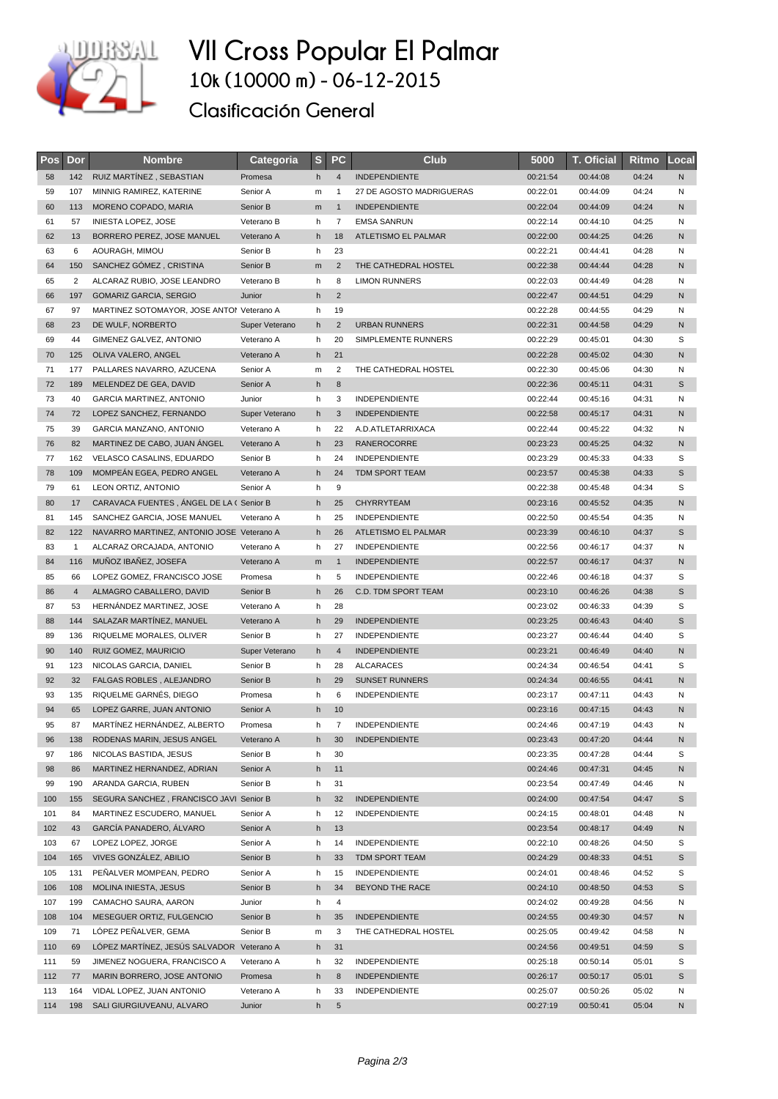

## **VII Cross Popular El Palmar 10k (10000 m) - 06-12-2015**

**Clasificación General**

| Pos      | Dor            | <b>Nombre</b>                                                          | Categoria      | s      | <b>PC</b>      | Club                                        | 5000                 | <b>T. Oficial</b>    | Ritmo          | Local  |
|----------|----------------|------------------------------------------------------------------------|----------------|--------|----------------|---------------------------------------------|----------------------|----------------------|----------------|--------|
| 58       | 142            | RUIZ MARTÍNEZ, SEBASTIAN                                               | Promesa        | h      | $\overline{4}$ | <b>INDEPENDIENTE</b>                        | 00:21:54             | 00:44:08             | 04:24          | N      |
| 59       | 107            | MINNIG RAMIREZ, KATERINE                                               | Senior A       | m      | $\mathbf{1}$   | 27 DE AGOSTO MADRIGUERAS                    | 00:22:01             | 00:44:09             | 04:24          | Ν      |
| 60       | 113            | MORENO COPADO, MARIA                                                   | Senior B       | m      | $\mathbf{1}$   | <b>INDEPENDIENTE</b>                        | 00:22:04             | 00:44:09             | 04:24          | N      |
| 61       | 57             | <b>INIESTA LOPEZ, JOSE</b>                                             | Veterano B     | h      | $\overline{7}$ | <b>EMSA SANRUN</b>                          | 00:22:14             | 00:44:10             | 04:25          | Ν      |
| 62       | 13             | BORRERO PEREZ, JOSE MANUEL                                             | Veterano A     | h      | 18             | ATLETISMO EL PALMAR                         | 00:22:00             | 00:44:25             | 04:26          | N      |
| 63       | 6              | AOURAGH, MIMOU                                                         | Senior B       | h      | 23             |                                             | 00:22:21             | 00:44:41             | 04:28          | Ν      |
| 64       | 150            | SANCHEZ GÓMEZ, CRISTINA                                                | Senior B       | m      | $\overline{2}$ | THE CATHEDRAL HOSTEL                        | 00:22:38             | 00:44:44             | 04:28          | N      |
| 65       | $\overline{2}$ | ALCARAZ RUBIO, JOSE LEANDRO                                            | Veterano B     | h      | 8              | <b>LIMON RUNNERS</b>                        | 00:22:03             | 00:44:49             | 04:28          | Ν      |
| 66       | 197            | <b>GOMARIZ GARCIA, SERGIO</b>                                          | Junior         | h      | $\overline{2}$ |                                             | 00:22:47             | 00:44:51             | 04:29          | N      |
| 67       | 97             | MARTINEZ SOTOMAYOR, JOSE ANTON Veterano A                              |                | h      | 19             |                                             | 00:22:28             | 00:44:55             | 04:29          | Ν      |
| 68       | 23             | DE WULF, NORBERTO                                                      | Super Veterano | h      | $\overline{2}$ | <b>URBAN RUNNERS</b>                        | 00:22:31             | 00:44:58             | 04:29          | N      |
| 69       | 44             | GIMENEZ GALVEZ, ANTONIO                                                | Veterano A     | h      | 20             | SIMPLEMENTE RUNNERS                         | 00:22:29             | 00:45:01             | 04:30          | S      |
| 70       | 125            | OLIVA VALERO, ANGEL                                                    | Veterano A     | h      | 21             |                                             | 00:22:28             | 00:45:02             | 04:30          | N      |
| 71       | 177            | PALLARES NAVARRO, AZUCENA                                              | Senior A       | m      | 2              | THE CATHEDRAL HOSTEL                        | 00:22:30             | 00:45:06             | 04:30          | Ν      |
| 72       | 189            | MELENDEZ DE GEA, DAVID                                                 | Senior A       | h      | 8              |                                             | 00:22:36             | 00:45:11             | 04:31          | S      |
| 73       | 40             | <b>GARCIA MARTINEZ, ANTONIO</b>                                        | Junior         | h      | 3              | INDEPENDIENTE                               | 00:22:44             | 00:45:16             | 04:31          | N      |
| 74       | 72             | LOPEZ SANCHEZ, FERNANDO                                                | Super Veterano | h      | 3              | <b>INDEPENDIENTE</b>                        | 00:22:58             | 00:45:17             | 04:31          | N      |
| 75       | 39             | GARCIA MANZANO, ANTONIO                                                | Veterano A     | h      | 22             | A.D.ATLETARRIXACA                           | 00:22:44             | 00:45:22             | 04:32          | N      |
| 76       | 82             | MARTINEZ DE CABO, JUAN ÁNGEL                                           | Veterano A     | h      | 23             | <b>RANEROCORRE</b>                          | 00:23:23             | 00:45:25             | 04:32          | N      |
| 77       | 162            | VELASCO CASALINS, EDUARDO                                              | Senior B       | h      | 24             | <b>INDEPENDIENTE</b>                        | 00:23:29             | 00:45:33             | 04:33          | S      |
| 78       | 109            | MOMPEÁN EGEA, PEDRO ANGEL                                              | Veterano A     | h      | 24             | TDM SPORT TEAM                              | 00:23:57             | 00:45:38             | 04:33          | S      |
| 79       | 61             | LEON ORTIZ, ANTONIO                                                    | Senior A       | h      | 9              |                                             | 00:22:38             | 00:45:48             | 04:34          | S      |
| 80       | 17             | CARAVACA FUENTES, ANGEL DE LA (Senior B                                |                | h      | 25             | <b>CHYRRYTEAM</b>                           | 00:23:16             | 00:45:52             | 04:35          | N      |
| 81<br>82 | 145<br>122     | SANCHEZ GARCIA, JOSE MANUEL                                            | Veterano A     | h<br>h | 25<br>26       | <b>INDEPENDIENTE</b>                        | 00:22:50             | 00:45:54             | 04:35          | Ν      |
| 83       | $\mathbf{1}$   | NAVARRO MARTINEZ, ANTONIO JOSE Veterano A<br>ALCARAZ ORCAJADA, ANTONIO | Veterano A     | h      | 27             | ATLETISMO EL PALMAR<br><b>INDEPENDIENTE</b> | 00:23:39<br>00:22:56 | 00:46:10<br>00:46:17 | 04:37<br>04:37 | S<br>Ν |
| 84       | 116            | MUÑOZ IBAÑEZ, JOSEFA                                                   | Veterano A     | m      | $\mathbf{1}$   | <b>INDEPENDIENTE</b>                        | 00:22:57             | 00:46:17             | 04:37          | N      |
| 85       | 66             | LOPEZ GOMEZ, FRANCISCO JOSE                                            | Promesa        | h      | 5              | <b>INDEPENDIENTE</b>                        | 00:22:46             | 00:46:18             | 04:37          | S      |
| 86       | $\overline{4}$ | ALMAGRO CABALLERO, DAVID                                               | Senior B       | h      | 26             | C.D. TDM SPORT TEAM                         | 00:23:10             | 00:46:26             | 04:38          | S      |
| 87       | 53             | HERNÁNDEZ MARTINEZ, JOSE                                               | Veterano A     | h      | 28             |                                             | 00:23:02             | 00:46:33             | 04:39          | S      |
| 88       | 144            | SALAZAR MARTINEZ, MANUEL                                               | Veterano A     | h      | 29             | <b>INDEPENDIENTE</b>                        | 00:23:25             | 00:46:43             | 04:40          | S      |
| 89       | 136            | RIQUELME MORALES, OLIVER                                               | Senior B       | h      | 27             | <b>INDEPENDIENTE</b>                        | 00:23:27             | 00:46:44             | 04:40          | S      |
| 90       | 140            | RUIZ GOMEZ, MAURICIO                                                   | Super Veterano | h      | $\overline{4}$ | <b>INDEPENDIENTE</b>                        | 00:23:21             | 00:46:49             | 04:40          | N      |
| 91       | 123            | NICOLAS GARCIA, DANIEL                                                 | Senior B       | h      | 28             | <b>ALCARACES</b>                            | 00:24:34             | 00:46:54             | 04:41          | S      |
| 92       | 32             | FALGAS ROBLES, ALEJANDRO                                               | Senior B       | h      | 29             | <b>SUNSET RUNNERS</b>                       | 00:24:34             | 00:46:55             | 04:41          | N      |
| 93       | 135            | RIQUELME GARNÉS, DIEGO                                                 | Promesa        | h      | 6              | <b>INDEPENDIENTE</b>                        | 00:23:17             | 00:47:11             | 04:43          | N      |
| 94       | 65             | LOPEZ GARRE, JUAN ANTONIO                                              | Senior A       | h      | 10             |                                             | 00:23:16             | 00:47:15             | 04:43          | N      |
| 95       | 87             | MARTÍNEZ HERNÁNDEZ, ALBERTO                                            | Promesa        | h      | $\overline{7}$ | <b>INDEPENDIENTE</b>                        | 00:24:46             | 00:47:19             | 04:43          | N      |
| 96       | 138            | RODENAS MARIN, JESUS ANGEL                                             | Veterano A     | h      | 30             | <b>INDEPENDIENTE</b>                        | 00:23:43             | 00:47:20             | 04:44          | Ν      |
| 97       | 186            | NICOLAS BASTIDA, JESUS                                                 | Senior B       | h      | 30             |                                             | 00:23:35             | 00:47:28             | 04:44          | S      |
| 98       | 86             | MARTINEZ HERNANDEZ, ADRIAN                                             | Senior A       | h      | 11             |                                             | 00:24:46             | 00:47:31             | 04:45          | N      |
| 99       | 190            | ARANDA GARCIA, RUBEN                                                   | Senior B       | h      | 31             |                                             | 00:23:54             | 00:47:49             | 04:46          | N      |
| 100      | 155            | SEGURA SANCHEZ, FRANCISCO JAVI Senior B                                |                | h      | 32             | <b>INDEPENDIENTE</b>                        | 00:24:00             | 00:47:54             | 04:47          | S      |
| 101      | 84             | MARTINEZ ESCUDERO, MANUEL                                              | Senior A       | h      | 12             | <b>INDEPENDIENTE</b>                        | 00:24:15             | 00:48:01             | 04:48          | N      |
| 102      | 43             | GARCÍA PANADERO, ÁLVARO                                                | Senior A       | h      | 13             |                                             | 00:23:54             | 00:48:17             | 04:49          | N      |
| 103      | 67             | LOPEZ LOPEZ, JORGE                                                     | Senior A       | h      | 14             | <b>INDEPENDIENTE</b>                        | 00:22:10             | 00:48:26             | 04:50          | S      |
| 104      | 165            | VIVES GONZÁLEZ, ABILIO                                                 | Senior B       | h      | 33             | TDM SPORT TEAM                              | 00:24:29             | 00:48:33             | 04:51          | S      |
| 105      | 131            | PENALVER MOMPEAN, PEDRO                                                | Senior A       | h      | 15             | <b>INDEPENDIENTE</b>                        | 00:24:01             | 00:48:46             | 04:52          | S      |
| 106      | 108            | MOLINA INIESTA, JESUS                                                  | Senior B       | h      | 34             | BEYOND THE RACE                             | 00:24:10             | 00:48:50             | 04:53          | S      |
| 107      | 199            | CAMACHO SAURA, AARON                                                   | Junior         | h      | 4              |                                             | 00:24:02             | 00:49:28             | 04:56          | N      |
| 108      | 104            | MESEGUER ORTIZ, FULGENCIO                                              | Senior B       | h      | 35             | INDEPENDIENTE                               | 00:24:55             | 00:49:30             | 04:57          | N      |
| 109      | 71             | LÓPEZ PEÑALVER, GEMA                                                   | Senior B       | m      | 3              | THE CATHEDRAL HOSTEL                        | 00:25:05             | 00:49:42             | 04:58          | N      |
| 110      | 69             | LÓPEZ MARTÍNEZ, JESÚS SALVADOR Veterano A                              |                | h      | 31             |                                             | 00:24:56             | 00:49:51             | 04:59          | S      |
| 111      | 59             | JIMENEZ NOGUERA, FRANCISCO A                                           | Veterano A     | h      | 32             | <b>INDEPENDIENTE</b>                        | 00:25:18             | 00:50:14             | 05:01          | S      |
| 112      | 77             | MARIN BORRERO, JOSE ANTONIO                                            | Promesa        | h      | 8              | <b>INDEPENDIENTE</b>                        | 00:26:17             | 00:50:17             | 05:01          | S      |
| 113      | 164            | VIDAL LOPEZ, JUAN ANTONIO                                              | Veterano A     | h      | 33             | <b>INDEPENDIENTE</b>                        | 00:25:07             | 00:50:26             | 05:02          | N      |
| 114      | 198            | SALI GIURGIUVEANU, ALVARO                                              | Junior         | h      | 5              |                                             | 00:27:19             | 00:50:41             | 05:04          | N      |